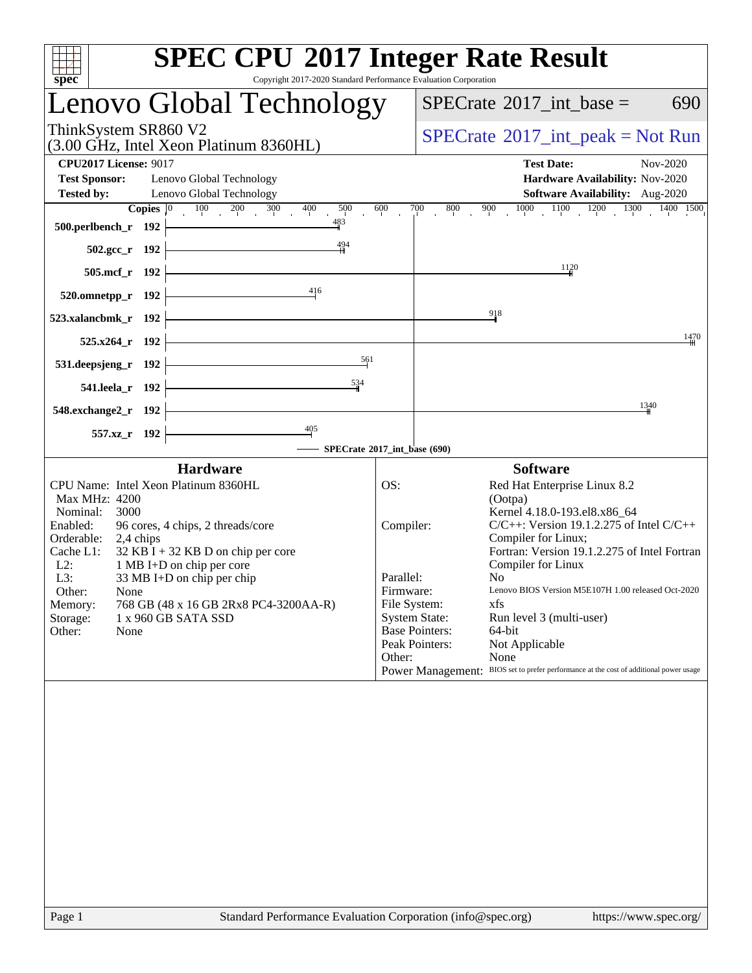| <b>SPEC CPU®2017 Integer Rate Result</b><br>Copyright 2017-2020 Standard Performance Evaluation Corporation<br>spec <sup>®</sup>                                                                                                                                                                                                                                                                                  |                                                      |                                                                                                                                                                                                                                                                                                                                                                                                                                                                                                                                                   |
|-------------------------------------------------------------------------------------------------------------------------------------------------------------------------------------------------------------------------------------------------------------------------------------------------------------------------------------------------------------------------------------------------------------------|------------------------------------------------------|---------------------------------------------------------------------------------------------------------------------------------------------------------------------------------------------------------------------------------------------------------------------------------------------------------------------------------------------------------------------------------------------------------------------------------------------------------------------------------------------------------------------------------------------------|
| Lenovo Global Technology                                                                                                                                                                                                                                                                                                                                                                                          | $SPECTate$ <sup>®</sup> 2017_int_base =<br>690       |                                                                                                                                                                                                                                                                                                                                                                                                                                                                                                                                                   |
| ThinkSystem SR860 V2<br>(3.00 GHz, Intel Xeon Platinum 8360HL)                                                                                                                                                                                                                                                                                                                                                    | $SPECrate^{\circledcirc}2017\_int\_peak = Not Run$   |                                                                                                                                                                                                                                                                                                                                                                                                                                                                                                                                                   |
| <b>CPU2017 License: 9017</b><br>Lenovo Global Technology<br><b>Test Sponsor:</b><br><b>Tested by:</b><br>Lenovo Global Technology<br>$100 \t 200 \t 300$<br>400<br>500<br>Copies $ 0\rangle$                                                                                                                                                                                                                      | 600                                                  | <b>Test Date:</b><br>Nov-2020<br>Hardware Availability: Nov-2020<br>Software Availability: Aug-2020<br>$\frac{800}{1}$ 900 900 1000 1100 1200 1300 1400 1500<br>$\overline{700}$                                                                                                                                                                                                                                                                                                                                                                  |
| 483<br>500.perlbench_r 192<br>494<br>$502.\text{gcc}_r$ 192                                                                                                                                                                                                                                                                                                                                                       |                                                      |                                                                                                                                                                                                                                                                                                                                                                                                                                                                                                                                                   |
| 505.mcf_r 192                                                                                                                                                                                                                                                                                                                                                                                                     |                                                      | 1120                                                                                                                                                                                                                                                                                                                                                                                                                                                                                                                                              |
| 416<br>$520.0$ mnetpp_r 192<br>523.xalancbmk_r 192                                                                                                                                                                                                                                                                                                                                                                |                                                      | 918                                                                                                                                                                                                                                                                                                                                                                                                                                                                                                                                               |
| 525.x264 r 192                                                                                                                                                                                                                                                                                                                                                                                                    |                                                      | 1470                                                                                                                                                                                                                                                                                                                                                                                                                                                                                                                                              |
| 561<br>531.deepsjeng_r 192                                                                                                                                                                                                                                                                                                                                                                                        |                                                      |                                                                                                                                                                                                                                                                                                                                                                                                                                                                                                                                                   |
| 534<br>541.leela_r 192                                                                                                                                                                                                                                                                                                                                                                                            |                                                      |                                                                                                                                                                                                                                                                                                                                                                                                                                                                                                                                                   |
| 548.exchange2_r 192                                                                                                                                                                                                                                                                                                                                                                                               |                                                      | 1340                                                                                                                                                                                                                                                                                                                                                                                                                                                                                                                                              |
| $\frac{405}{7}$<br>557.xz_r 192<br>SPECrate®2017_int_base (690)                                                                                                                                                                                                                                                                                                                                                   |                                                      |                                                                                                                                                                                                                                                                                                                                                                                                                                                                                                                                                   |
| <b>Hardware</b>                                                                                                                                                                                                                                                                                                                                                                                                   |                                                      | <b>Software</b>                                                                                                                                                                                                                                                                                                                                                                                                                                                                                                                                   |
| CPU Name: Intel Xeon Platinum 8360HL<br>Max MHz: 4200<br>Nominal:<br>3000<br>Enabled:<br>96 cores, 4 chips, 2 threads/core<br>Orderable:<br>2,4 chips<br>$32$ KB I + 32 KB D on chip per core<br>Cache L1:<br>1 MB I+D on chip per core<br>$L2$ :<br>33 MB I+D on chip per chip<br>L3:<br>Other:<br>None<br>768 GB (48 x 16 GB 2Rx8 PC4-3200AA-R)<br>Memory:<br>1 x 960 GB SATA SSD<br>Storage:<br>Other:<br>None | OS:<br>Compiler:<br>Parallel:<br>Firmware:<br>Other: | Red Hat Enterprise Linux 8.2<br>(Ootpa)<br>Kernel 4.18.0-193.el8.x86 64<br>$C/C++$ : Version 19.1.2.275 of Intel $C/C++$<br>Compiler for Linux;<br>Fortran: Version 19.1.2.275 of Intel Fortran<br>Compiler for Linux<br>N <sub>0</sub><br>Lenovo BIOS Version M5E107H 1.00 released Oct-2020<br>File System:<br>xfs<br><b>System State:</b><br>Run level 3 (multi-user)<br><b>Base Pointers:</b><br>64-bit<br>Peak Pointers:<br>Not Applicable<br>None<br>Power Management: BIOS set to prefer performance at the cost of additional power usage |
|                                                                                                                                                                                                                                                                                                                                                                                                                   |                                                      |                                                                                                                                                                                                                                                                                                                                                                                                                                                                                                                                                   |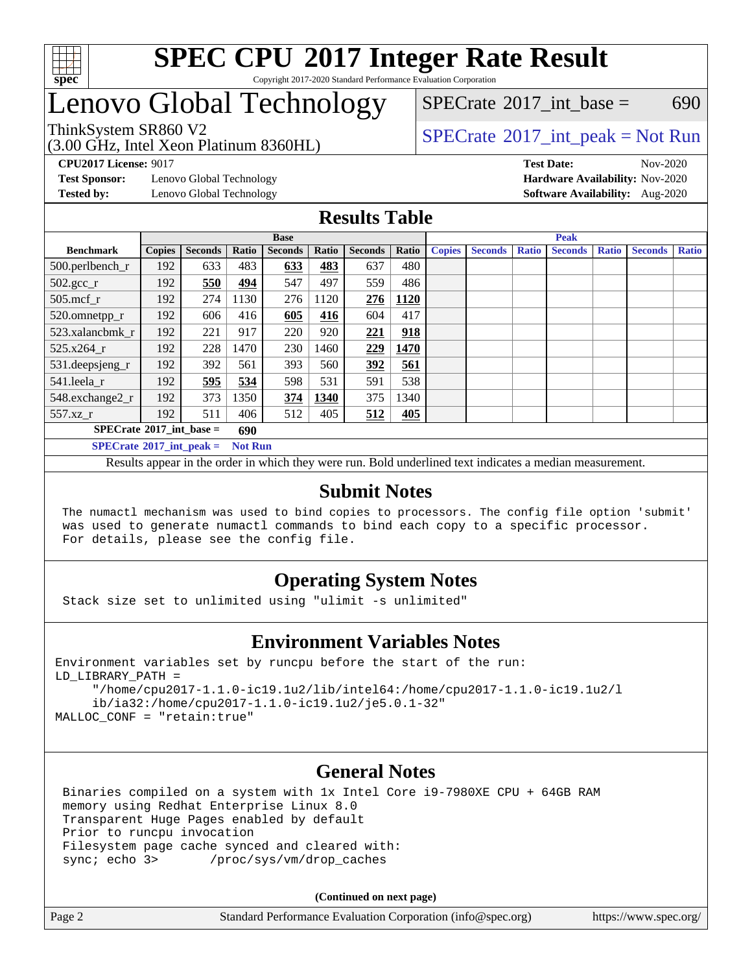

#### **[SPEC CPU](http://www.spec.org/auto/cpu2017/Docs/result-fields.html#SPECCPU2017IntegerRateResult)[2017 Integer Rate Result](http://www.spec.org/auto/cpu2017/Docs/result-fields.html#SPECCPU2017IntegerRateResult)** Copyright 2017-2020 Standard Performance Evaluation Corporation

## Lenovo Global Technology

 $SPECTate@2017$  int base = 690

### (3.00 GHz, Intel Xeon Platinum 8360HL)

ThinkSystem SR860 V2<br>  $\begin{array}{c} \text{SPECrate} \textcirc 2017\_int\_peak = Not Run \end{array}$  $\begin{array}{c} \text{SPECrate} \textcirc 2017\_int\_peak = Not Run \end{array}$  $\begin{array}{c} \text{SPECrate} \textcirc 2017\_int\_peak = Not Run \end{array}$ 

**[Test Sponsor:](http://www.spec.org/auto/cpu2017/Docs/result-fields.html#TestSponsor)** Lenovo Global Technology **[Hardware Availability:](http://www.spec.org/auto/cpu2017/Docs/result-fields.html#HardwareAvailability)** Nov-2020

**[CPU2017 License:](http://www.spec.org/auto/cpu2017/Docs/result-fields.html#CPU2017License)** 9017 **[Test Date:](http://www.spec.org/auto/cpu2017/Docs/result-fields.html#TestDate)** Nov-2020 **[Tested by:](http://www.spec.org/auto/cpu2017/Docs/result-fields.html#Testedby)** Lenovo Global Technology **[Software Availability:](http://www.spec.org/auto/cpu2017/Docs/result-fields.html#SoftwareAvailability)** Aug-2020

### **[Results Table](http://www.spec.org/auto/cpu2017/Docs/result-fields.html#ResultsTable)**

|                                                       | <b>Base</b>   |                |              |                | <b>Peak</b> |                |             |               |                |              |                |              |                |              |
|-------------------------------------------------------|---------------|----------------|--------------|----------------|-------------|----------------|-------------|---------------|----------------|--------------|----------------|--------------|----------------|--------------|
| <b>Benchmark</b>                                      | <b>Copies</b> | <b>Seconds</b> | <b>Ratio</b> | <b>Seconds</b> | Ratio       | <b>Seconds</b> | Ratio       | <b>Copies</b> | <b>Seconds</b> | <b>Ratio</b> | <b>Seconds</b> | <b>Ratio</b> | <b>Seconds</b> | <b>Ratio</b> |
| $500.$ perlbench_r                                    | 192           | 633            | 483          | 633            | 483         | 637            | 480         |               |                |              |                |              |                |              |
| $502.\text{sec}$                                      | 192           | 550            | 494          | 547            | 497         | 559            | 486         |               |                |              |                |              |                |              |
| $505$ .mcf r                                          | 192           | 274            | 1130         | 276            | 1120        | 276            | <b>1120</b> |               |                |              |                |              |                |              |
| 520.omnetpp_r                                         | 192           | 606            | 416          | 605            | 416         | 604            | 417         |               |                |              |                |              |                |              |
| 523.xalancbmk r                                       | 192           | 221            | 917          | 220            | 920         | 221            | 918         |               |                |              |                |              |                |              |
| 525.x264 r                                            | 192           | 228            | 1470         | 230            | 1460        | 229            | 1470        |               |                |              |                |              |                |              |
| 531.deepsjeng_r                                       | 192           | 392            | 561          | 393            | 560         | 392            | 561         |               |                |              |                |              |                |              |
| 541.leela r                                           | 192           | 595            | 534          | 598            | 531         | 591            | 538         |               |                |              |                |              |                |              |
| 548.exchange2_r                                       | 192           | 373            | 1350         | 374            | 1340        | 375            | 1340        |               |                |              |                |              |                |              |
| 557.xz                                                | 192           | 511            | 406          | 512            | 405         | 512            | 405         |               |                |              |                |              |                |              |
| $SPECrate^{\circ}2017$ int base =<br>690              |               |                |              |                |             |                |             |               |                |              |                |              |                |              |
| $SPECrate^{\circ}2017\_int\_peak =$<br><b>Not Run</b> |               |                |              |                |             |                |             |               |                |              |                |              |                |              |

Results appear in the [order in which they were run](http://www.spec.org/auto/cpu2017/Docs/result-fields.html#RunOrder). Bold underlined text [indicates a median measurement](http://www.spec.org/auto/cpu2017/Docs/result-fields.html#Median).

### **[Submit Notes](http://www.spec.org/auto/cpu2017/Docs/result-fields.html#SubmitNotes)**

 The numactl mechanism was used to bind copies to processors. The config file option 'submit' was used to generate numactl commands to bind each copy to a specific processor. For details, please see the config file.

### **[Operating System Notes](http://www.spec.org/auto/cpu2017/Docs/result-fields.html#OperatingSystemNotes)**

Stack size set to unlimited using "ulimit -s unlimited"

### **[Environment Variables Notes](http://www.spec.org/auto/cpu2017/Docs/result-fields.html#EnvironmentVariablesNotes)**

```
Environment variables set by runcpu before the start of the run:
LD_LIBRARY_PATH =
      "/home/cpu2017-1.1.0-ic19.1u2/lib/intel64:/home/cpu2017-1.1.0-ic19.1u2/l
      ib/ia32:/home/cpu2017-1.1.0-ic19.1u2/je5.0.1-32"
MALLOC_CONF = "retain:true"
```
#### **[General Notes](http://www.spec.org/auto/cpu2017/Docs/result-fields.html#GeneralNotes)**

 Binaries compiled on a system with 1x Intel Core i9-7980XE CPU + 64GB RAM memory using Redhat Enterprise Linux 8.0 Transparent Huge Pages enabled by default Prior to runcpu invocation Filesystem page cache synced and cleared with: sync; echo 3> /proc/sys/vm/drop\_caches

**(Continued on next page)**

| Page 2 | Standard Performance Evaluation Corporation (info@spec.org) | https://www.spec.org/ |
|--------|-------------------------------------------------------------|-----------------------|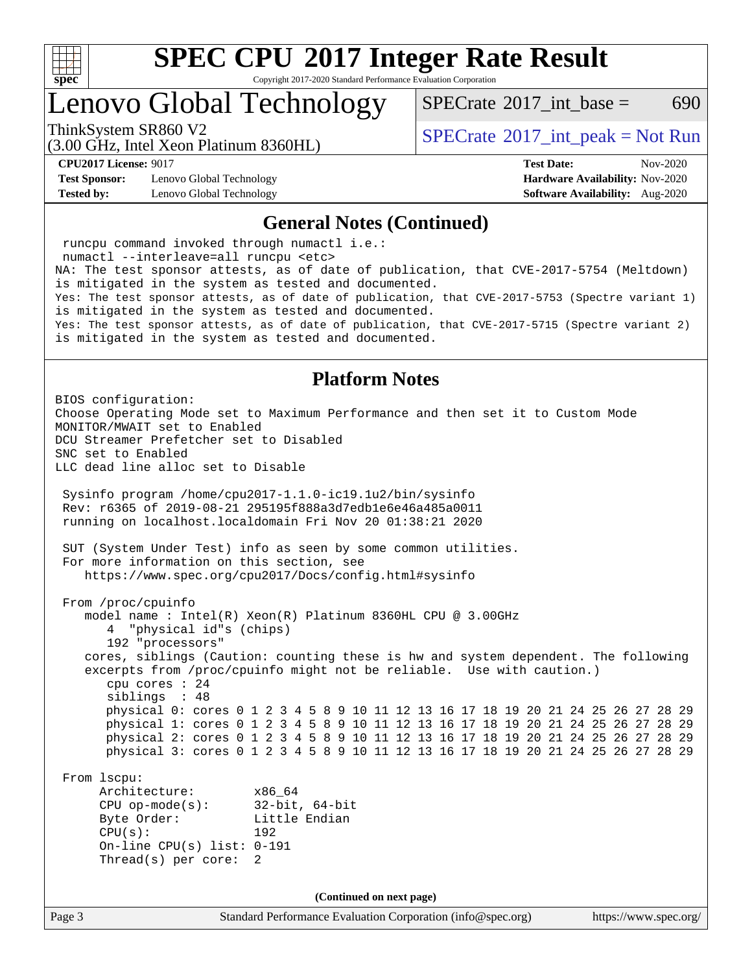

Copyright 2017-2020 Standard Performance Evaluation Corporation

## Lenovo Global Technology

[SPECrate](http://www.spec.org/auto/cpu2017/Docs/result-fields.html#SPECrate2017intbase)<sup>®</sup>2017 int base = 690

(3.00 GHz, Intel Xeon Platinum 8360HL)

ThinkSystem SR860 V2<br>  $\begin{array}{c} \text{SPECrate} \textcirc 2017\_int\_peak = Not Run \end{array}$  $\begin{array}{c} \text{SPECrate} \textcirc 2017\_int\_peak = Not Run \end{array}$  $\begin{array}{c} \text{SPECrate} \textcirc 2017\_int\_peak = Not Run \end{array}$ 

**[Test Sponsor:](http://www.spec.org/auto/cpu2017/Docs/result-fields.html#TestSponsor)** Lenovo Global Technology **[Hardware Availability:](http://www.spec.org/auto/cpu2017/Docs/result-fields.html#HardwareAvailability)** Nov-2020 **[Tested by:](http://www.spec.org/auto/cpu2017/Docs/result-fields.html#Testedby)** Lenovo Global Technology **[Software Availability:](http://www.spec.org/auto/cpu2017/Docs/result-fields.html#SoftwareAvailability)** Aug-2020

**[CPU2017 License:](http://www.spec.org/auto/cpu2017/Docs/result-fields.html#CPU2017License)** 9017 **[Test Date:](http://www.spec.org/auto/cpu2017/Docs/result-fields.html#TestDate)** Nov-2020

#### **[General Notes \(Continued\)](http://www.spec.org/auto/cpu2017/Docs/result-fields.html#GeneralNotes)**

 runcpu command invoked through numactl i.e.: numactl --interleave=all runcpu <etc> NA: The test sponsor attests, as of date of publication, that CVE-2017-5754 (Meltdown) is mitigated in the system as tested and documented. Yes: The test sponsor attests, as of date of publication, that CVE-2017-5753 (Spectre variant 1) is mitigated in the system as tested and documented. Yes: The test sponsor attests, as of date of publication, that CVE-2017-5715 (Spectre variant 2) is mitigated in the system as tested and documented. **[Platform Notes](http://www.spec.org/auto/cpu2017/Docs/result-fields.html#PlatformNotes)** BIOS configuration: Choose Operating Mode set to Maximum Performance and then set it to Custom Mode MONITOR/MWAIT set to Enabled DCU Streamer Prefetcher set to Disabled SNC set to Enabled LLC dead line alloc set to Disable Sysinfo program /home/cpu2017-1.1.0-ic19.1u2/bin/sysinfo Rev: r6365 of 2019-08-21 295195f888a3d7edb1e6e46a485a0011 running on localhost.localdomain Fri Nov 20 01:38:21 2020 SUT (System Under Test) info as seen by some common utilities. For more information on this section, see <https://www.spec.org/cpu2017/Docs/config.html#sysinfo> From /proc/cpuinfo model name : Intel(R) Xeon(R) Platinum 8360HL CPU @ 3.00GHz 4 "physical id"s (chips) 192 "processors" cores, siblings (Caution: counting these is hw and system dependent. The following excerpts from /proc/cpuinfo might not be reliable. Use with caution.) cpu cores : 24 siblings : 48 physical 0: cores 0 1 2 3 4 5 8 9 10 11 12 13 16 17 18 19 20 21 24 25 26 27 28 29 physical 1: cores 0 1 2 3 4 5 8 9 10 11 12 13 16 17 18 19 20 21 24 25 26 27 28 29 physical 2: cores 0 1 2 3 4 5 8 9 10 11 12 13 16 17 18 19 20 21 24 25 26 27 28 29 physical 3: cores 0 1 2 3 4 5 8 9 10 11 12 13 16 17 18 19 20 21 24 25 26 27 28 29 From lscpu: Architecture: x86\_64 CPU op-mode(s): 32-bit, 64-bit Byte Order: Little Endian CPU(s): 192 On-line CPU(s) list: 0-191 Thread(s) per core: 2 **(Continued on next page)**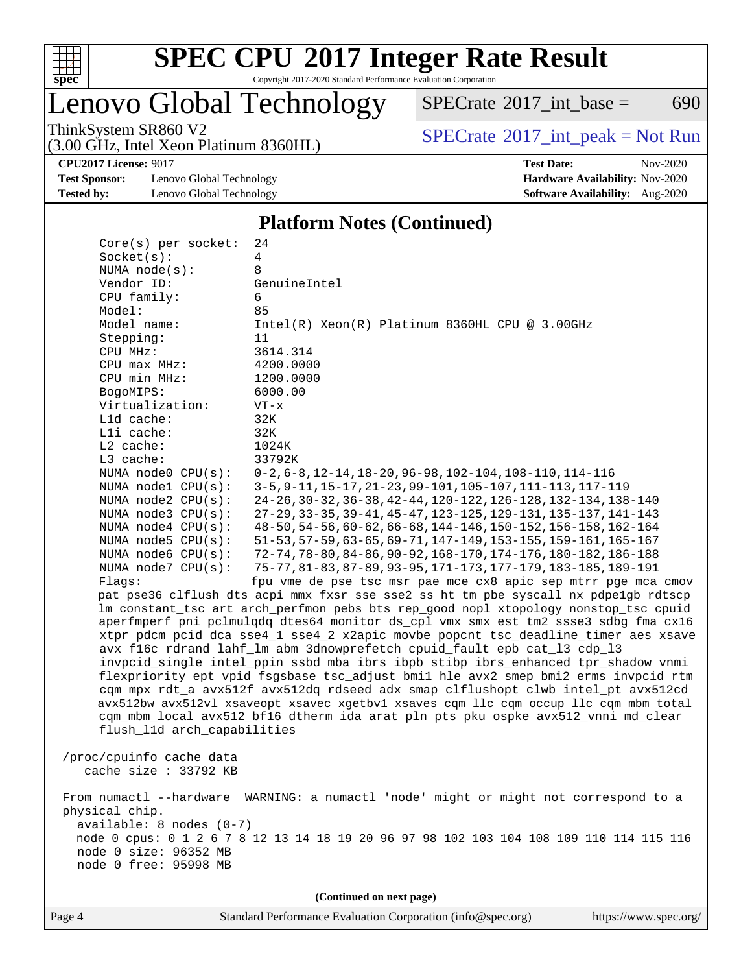

Copyright 2017-2020 Standard Performance Evaluation Corporation

## Lenovo Global Technology

ThinkSystem SR860 V2<br>  $(3.00 \text{ GHz. Intel Yoon Plutium } 8360 \text{ H})$  [SPECrate](http://www.spec.org/auto/cpu2017/Docs/result-fields.html#SPECrate2017intpeak)®[2017\\_int\\_peak = N](http://www.spec.org/auto/cpu2017/Docs/result-fields.html#SPECrate2017intpeak)ot Run  $SPECTate$ <sup>®</sup>[2017\\_int\\_base =](http://www.spec.org/auto/cpu2017/Docs/result-fields.html#SPECrate2017intbase) 690

(3.00 GHz, Intel Xeon Platinum 8360HL)

**[Test Sponsor:](http://www.spec.org/auto/cpu2017/Docs/result-fields.html#TestSponsor)** Lenovo Global Technology **[Hardware Availability:](http://www.spec.org/auto/cpu2017/Docs/result-fields.html#HardwareAvailability)** Nov-2020 **[Tested by:](http://www.spec.org/auto/cpu2017/Docs/result-fields.html#Testedby)** Lenovo Global Technology **[Software Availability:](http://www.spec.org/auto/cpu2017/Docs/result-fields.html#SoftwareAvailability)** Aug-2020

**[CPU2017 License:](http://www.spec.org/auto/cpu2017/Docs/result-fields.html#CPU2017License)** 9017 **[Test Date:](http://www.spec.org/auto/cpu2017/Docs/result-fields.html#TestDate)** Nov-2020

#### **[Platform Notes \(Continued\)](http://www.spec.org/auto/cpu2017/Docs/result-fields.html#PlatformNotes)**

| Core(s) per socket:         | 24                                                                                      |
|-----------------------------|-----------------------------------------------------------------------------------------|
| Socket(s):                  | 4                                                                                       |
| NUMA $node(s)$ :            | 8                                                                                       |
| Vendor ID:                  | GenuineIntel                                                                            |
| CPU family:                 | 6                                                                                       |
| Model:                      | 85                                                                                      |
| Model name:                 | Intel(R) Xeon(R) Platinum 8360HL CPU @ 3.00GHz                                          |
| Stepping:                   | 11                                                                                      |
| CPU MHz:                    | 3614.314                                                                                |
| CPU max MHz:                | 4200.0000                                                                               |
| CPU min MHz:                | 1200.0000                                                                               |
| BogoMIPS:                   | 6000.00                                                                                 |
| Virtualization:             | $VT - x$                                                                                |
| L1d cache:                  | 32K                                                                                     |
| Lli cache:                  | 32K                                                                                     |
| $L2$ cache:                 | 1024K                                                                                   |
| L3 cache:                   | 33792K                                                                                  |
| NUMA node0 CPU(s):          | $0-2, 6-8, 12-14, 18-20, 96-98, 102-104, 108-110, 114-116$                              |
| NUMA $node1$ $CPU(s):$      | 3-5, 9-11, 15-17, 21-23, 99-101, 105-107, 111-113, 117-119                              |
| NUMA node2 CPU(s):          | 24-26, 30-32, 36-38, 42-44, 120-122, 126-128, 132-134, 138-140                          |
| NUMA node3 CPU(s):          | 27-29, 33-35, 39-41, 45-47, 123-125, 129-131, 135-137, 141-143                          |
| NUMA node4 CPU(s):          | 48-50, 54-56, 60-62, 66-68, 144-146, 150-152, 156-158, 162-164                          |
| NUMA $node5$ $CPU(s):$      | 51-53, 57-59, 63-65, 69-71, 147-149, 153-155, 159-161, 165-167                          |
| NUMA node6 CPU(s):          | 72-74, 78-80, 84-86, 90-92, 168-170, 174-176, 180-182, 186-188                          |
| NUMA node7 CPU(s):          | 75-77, 81-83, 87-89, 93-95, 171-173, 177-179, 183-185, 189-191                          |
| Flags:                      | fpu vme de pse tsc msr pae mce cx8 apic sep mtrr pge mca cmov                           |
|                             | pat pse36 clflush dts acpi mmx fxsr sse sse2 ss ht tm pbe syscall nx pdpelgb rdtscp     |
|                             | lm constant_tsc art arch_perfmon pebs bts rep_good nopl xtopology nonstop_tsc cpuid     |
|                             | aperfmperf pni pclmulqdq dtes64 monitor ds_cpl vmx smx est tm2 ssse3 sdbg fma cx16      |
|                             | xtpr pdcm pcid dca sse4_1 sse4_2 x2apic movbe popcnt tsc_deadline_timer aes xsave       |
|                             | avx f16c rdrand lahf_lm abm 3dnowprefetch cpuid_fault epb cat_13 cdp_13                 |
|                             | invpcid_single intel_ppin ssbd mba ibrs ibpb stibp ibrs_enhanced tpr_shadow vnmi        |
|                             | flexpriority ept vpid fsgsbase tsc_adjust bmil hle avx2 smep bmi2 erms invpcid rtm      |
|                             | cqm mpx rdt_a avx512f avx512dq rdseed adx smap clflushopt clwb intel_pt avx512cd        |
|                             | avx512bw avx512vl xsaveopt xsavec xgetbvl xsaves cqm_llc cqm_occup_llc cqm_mbm_total    |
|                             | cqm_mbm_local avx512_bf16 dtherm ida arat pln pts pku ospke avx512_vnni md_clear        |
| flush_l1d arch_capabilities |                                                                                         |
|                             |                                                                                         |
| /proc/cpuinfo cache data    |                                                                                         |
| cache size $: 33792$ KB     |                                                                                         |
|                             | From numactl --hardware WARNING: a numactl 'node' might or might not correspond to a    |
| physical chip.              |                                                                                         |
| available: 8 nodes (0-7)    |                                                                                         |
|                             | node 0 cpus: 0 1 2 6 7 8 12 13 14 18 19 20 96 97 98 102 103 104 108 109 110 114 115 116 |
| node 0 size: 96352 MB       |                                                                                         |
| node 0 free: 95998 MB       |                                                                                         |
|                             |                                                                                         |
|                             | (Continued on next page)                                                                |
|                             |                                                                                         |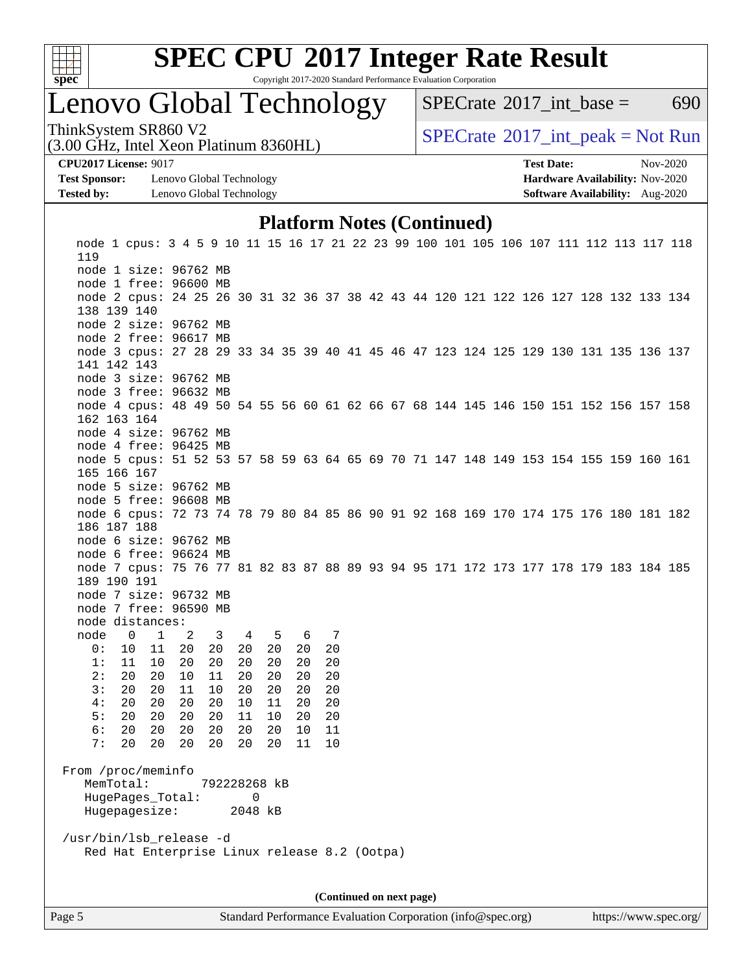

Copyright 2017-2020 Standard Performance Evaluation Corporation

### Lenovo Global Technology

[SPECrate](http://www.spec.org/auto/cpu2017/Docs/result-fields.html#SPECrate2017intbase)<sup>®</sup>2017 int base = 690

(3.00 GHz, Intel Xeon Platinum 8360HL)

ThinkSystem SR860 V2<br>  $\begin{array}{c} \text{SPECrate} \textcirc 2017\_int\_peak = Not Run \end{array}$  $\begin{array}{c} \text{SPECrate} \textcirc 2017\_int\_peak = Not Run \end{array}$  $\begin{array}{c} \text{SPECrate} \textcirc 2017\_int\_peak = Not Run \end{array}$ 

**[Test Sponsor:](http://www.spec.org/auto/cpu2017/Docs/result-fields.html#TestSponsor)** Lenovo Global Technology **[Hardware Availability:](http://www.spec.org/auto/cpu2017/Docs/result-fields.html#HardwareAvailability)** Nov-2020 **[Tested by:](http://www.spec.org/auto/cpu2017/Docs/result-fields.html#Testedby)** Lenovo Global Technology **[Software Availability:](http://www.spec.org/auto/cpu2017/Docs/result-fields.html#SoftwareAvailability)** Aug-2020

**[CPU2017 License:](http://www.spec.org/auto/cpu2017/Docs/result-fields.html#CPU2017License)** 9017 **[Test Date:](http://www.spec.org/auto/cpu2017/Docs/result-fields.html#TestDate)** Nov-2020

### **[Platform Notes \(Continued\)](http://www.spec.org/auto/cpu2017/Docs/result-fields.html#PlatformNotes)**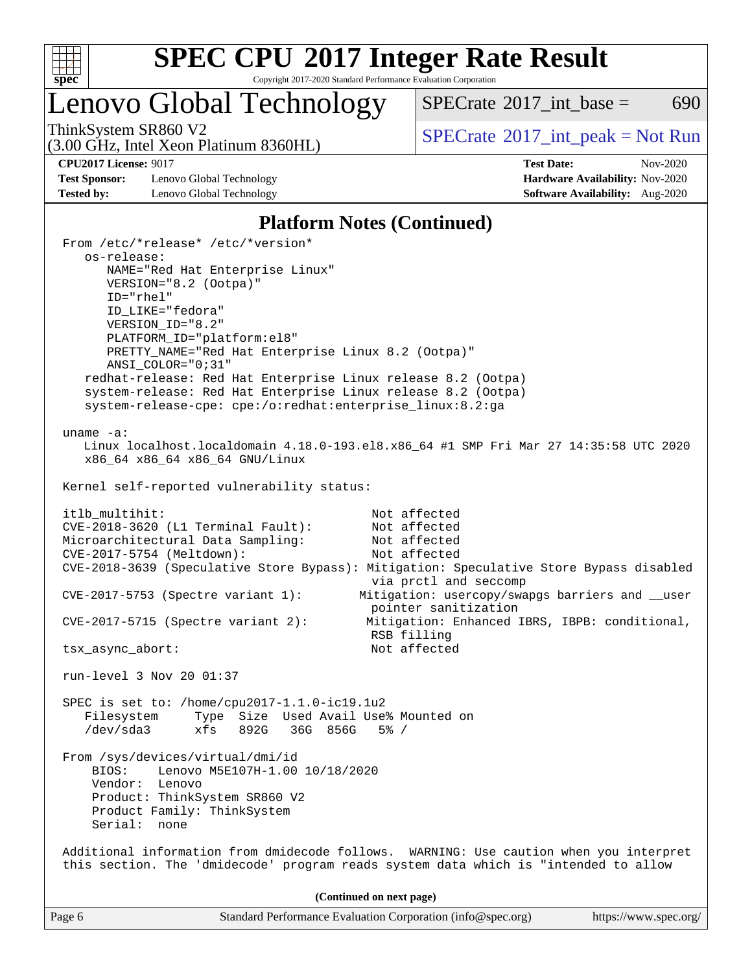

Copyright 2017-2020 Standard Performance Evaluation Corporation

## Lenovo Global Technology

 $SPECTate$ <sup>®</sup>[2017\\_int\\_base =](http://www.spec.org/auto/cpu2017/Docs/result-fields.html#SPECrate2017intbase) 690

(3.00 GHz, Intel Xeon Platinum 8360HL)

ThinkSystem SR860 V2<br>  $(3.00 \text{ GHz. Intel Yoon Plutium } 8360 \text{ H})$  [SPECrate](http://www.spec.org/auto/cpu2017/Docs/result-fields.html#SPECrate2017intpeak)®[2017\\_int\\_peak = N](http://www.spec.org/auto/cpu2017/Docs/result-fields.html#SPECrate2017intpeak)ot Run

**[Test Sponsor:](http://www.spec.org/auto/cpu2017/Docs/result-fields.html#TestSponsor)** Lenovo Global Technology **[Hardware Availability:](http://www.spec.org/auto/cpu2017/Docs/result-fields.html#HardwareAvailability)** Nov-2020 **[Tested by:](http://www.spec.org/auto/cpu2017/Docs/result-fields.html#Testedby)** Lenovo Global Technology **[Software Availability:](http://www.spec.org/auto/cpu2017/Docs/result-fields.html#SoftwareAvailability)** Aug-2020

**[CPU2017 License:](http://www.spec.org/auto/cpu2017/Docs/result-fields.html#CPU2017License)** 9017 **[Test Date:](http://www.spec.org/auto/cpu2017/Docs/result-fields.html#TestDate)** Nov-2020

### **[Platform Notes \(Continued\)](http://www.spec.org/auto/cpu2017/Docs/result-fields.html#PlatformNotes)**

| Page 6                                                                                                                                                                        | Standard Performance Evaluation Corporation (info@spec.org)                                                                                                                               | https://www.spec.org/ |
|-------------------------------------------------------------------------------------------------------------------------------------------------------------------------------|-------------------------------------------------------------------------------------------------------------------------------------------------------------------------------------------|-----------------------|
|                                                                                                                                                                               | (Continued on next page)                                                                                                                                                                  |                       |
|                                                                                                                                                                               | Additional information from dmidecode follows. WARNING: Use caution when you interpret<br>this section. The 'dmidecode' program reads system data which is "intended to allow             |                       |
| From /sys/devices/virtual/dmi/id<br>Lenovo M5E107H-1.00 10/18/2020<br>BIOS:<br>Vendor: Lenovo<br>Product: ThinkSystem SR860 V2<br>Product Family: ThinkSystem<br>Serial: none |                                                                                                                                                                                           |                       |
| SPEC is set to: /home/cpu2017-1.1.0-ic19.1u2<br>Filesystem<br>/dev/sda3                                                                                                       | Type Size Used Avail Use% Mounted on<br>xfs 892G 36G 856G 5% /                                                                                                                            |                       |
| run-level 3 Nov 20 01:37                                                                                                                                                      |                                                                                                                                                                                           |                       |
| tsx_async_abort:                                                                                                                                                              | RSB filling<br>Not affected                                                                                                                                                               |                       |
| $CVE-2017-5753$ (Spectre variant 1):<br>$CVE-2017-5715$ (Spectre variant 2):                                                                                                  | via prctl and seccomp<br>Mitigation: usercopy/swapgs barriers and __user<br>pointer sanitization<br>Mitigation: Enhanced IBRS, IBPB: conditional,                                         |                       |
| CVE-2017-5754 (Meltdown):                                                                                                                                                     | Not affected<br>CVE-2018-3639 (Speculative Store Bypass): Mitigation: Speculative Store Bypass disabled                                                                                   |                       |
| CVE-2018-3620 (L1 Terminal Fault):<br>Microarchitectural Data Sampling:                                                                                                       | Not affected<br>Not affected                                                                                                                                                              |                       |
| itlb_multihit:                                                                                                                                                                | Not affected                                                                                                                                                                              |                       |
| Kernel self-reported vulnerability status:                                                                                                                                    |                                                                                                                                                                                           |                       |
| $uname -a:$<br>x86_64 x86_64 x86_64 GNU/Linux                                                                                                                                 | Linux localhost.localdomain 4.18.0-193.el8.x86_64 #1 SMP Fri Mar 27 14:35:58 UTC 2020                                                                                                     |                       |
|                                                                                                                                                                               | redhat-release: Red Hat Enterprise Linux release 8.2 (Ootpa)<br>system-release: Red Hat Enterprise Linux release 8.2 (Ootpa)<br>system-release-cpe: cpe:/o:redhat:enterprise_linux:8.2:ga |                       |
| ANSI_COLOR="0;31"                                                                                                                                                             | PRETTY_NAME="Red Hat Enterprise Linux 8.2 (Ootpa)"                                                                                                                                        |                       |
| ID_LIKE="fedora"<br>VERSION ID="8.2"<br>PLATFORM_ID="platform:el8"                                                                                                            |                                                                                                                                                                                           |                       |
| VERSION="8.2 (Ootpa)"<br>$ID="rhe1"$                                                                                                                                          |                                                                                                                                                                                           |                       |
| os-release:<br>NAME="Red Hat Enterprise Linux"                                                                                                                                |                                                                                                                                                                                           |                       |
| From /etc/*release* /etc/*version*                                                                                                                                            |                                                                                                                                                                                           |                       |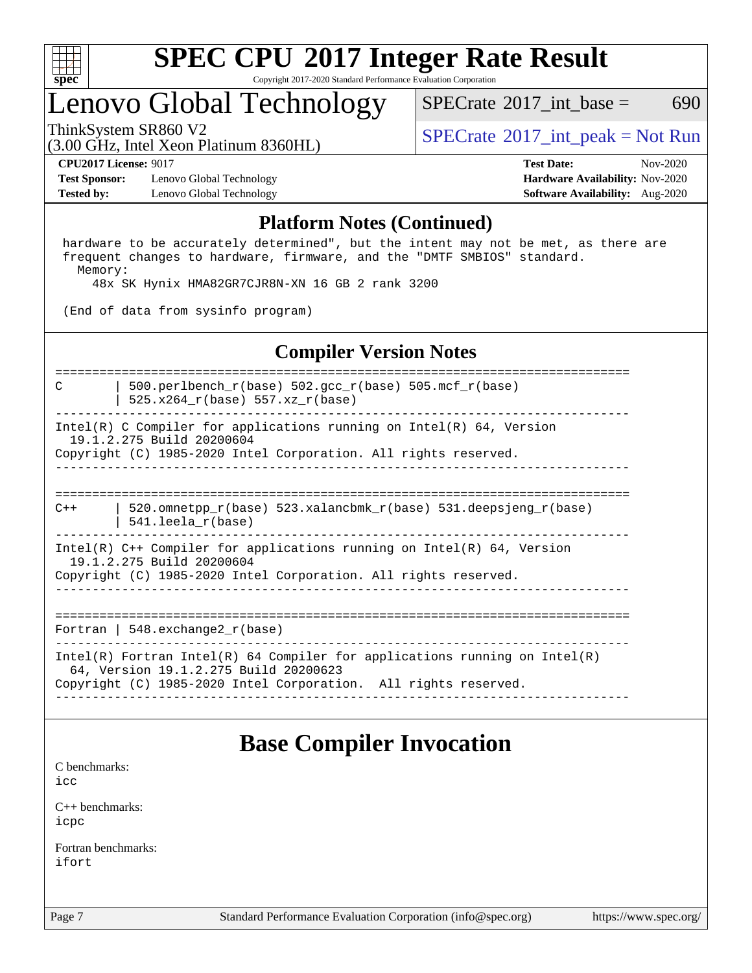

Copyright 2017-2020 Standard Performance Evaluation Corporation

### Lenovo Global Technology

[SPECrate](http://www.spec.org/auto/cpu2017/Docs/result-fields.html#SPECrate2017intbase)<sup>®</sup>2017 int base = 690

(3.00 GHz, Intel Xeon Platinum 8360HL)

ThinkSystem SR860 V2<br>  $\begin{array}{c} \text{SPECTR} \\ \text{SPECTR} \\ \text{SPECTR} \end{array}$  [SPECrate](http://www.spec.org/auto/cpu2017/Docs/result-fields.html#SPECrate2017intpeak)®[2017\\_int\\_peak = N](http://www.spec.org/auto/cpu2017/Docs/result-fields.html#SPECrate2017intpeak)ot Run

**[Test Sponsor:](http://www.spec.org/auto/cpu2017/Docs/result-fields.html#TestSponsor)** Lenovo Global Technology **[Hardware Availability:](http://www.spec.org/auto/cpu2017/Docs/result-fields.html#HardwareAvailability)** Nov-2020 **[Tested by:](http://www.spec.org/auto/cpu2017/Docs/result-fields.html#Testedby)** Lenovo Global Technology **[Software Availability:](http://www.spec.org/auto/cpu2017/Docs/result-fields.html#SoftwareAvailability)** Aug-2020

**[CPU2017 License:](http://www.spec.org/auto/cpu2017/Docs/result-fields.html#CPU2017License)** 9017 **[Test Date:](http://www.spec.org/auto/cpu2017/Docs/result-fields.html#TestDate)** Nov-2020

### **[Platform Notes \(Continued\)](http://www.spec.org/auto/cpu2017/Docs/result-fields.html#PlatformNotes)**

 hardware to be accurately determined", but the intent may not be met, as there are frequent changes to hardware, firmware, and the "DMTF SMBIOS" standard. Memory:

48x SK Hynix HMA82GR7CJR8N-XN 16 GB 2 rank 3200

(End of data from sysinfo program)

#### **[Compiler Version Notes](http://www.spec.org/auto/cpu2017/Docs/result-fields.html#CompilerVersionNotes)**

==============================================================================

C | 500.perlbench\_r(base) 502.gcc\_r(base) 505.mcf\_r(base)

 | 525.x264\_r(base) 557.xz\_r(base) ------------------------------------------------------------------------------

Intel(R) C Compiler for applications running on Intel(R)  $64$ , Version 19.1.2.275 Build 20200604

Copyright (C) 1985-2020 Intel Corporation. All rights reserved. ------------------------------------------------------------------------------

==============================================================================  $C++$  | 520.omnetpp\_r(base) 523.xalancbmk\_r(base) 531.deepsjeng\_r(base)

| 541.leela\_r(base)

------------------------------------------------------------------------------ Intel(R) C++ Compiler for applications running on Intel(R) 64, Version 19.1.2.275 Build 20200604 Copyright (C) 1985-2020 Intel Corporation. All rights reserved.

------------------------------------------------------------------------------

==============================================================================

Fortran | 548.exchange2\_r(base)

------------------------------------------------------------------------------ Intel(R) Fortran Intel(R) 64 Compiler for applications running on Intel(R) 64, Version 19.1.2.275 Build 20200623 Copyright (C) 1985-2020 Intel Corporation. All rights reserved. ------------------------------------------------------------------------------

### **[Base Compiler Invocation](http://www.spec.org/auto/cpu2017/Docs/result-fields.html#BaseCompilerInvocation)**

[C benchmarks](http://www.spec.org/auto/cpu2017/Docs/result-fields.html#Cbenchmarks): [icc](http://www.spec.org/cpu2017/results/res2020q4/cpu2017-20201123-24470.flags.html#user_CCbase_intel_icc_66fc1ee009f7361af1fbd72ca7dcefbb700085f36577c54f309893dd4ec40d12360134090235512931783d35fd58c0460139e722d5067c5574d8eaf2b3e37e92)

[C++ benchmarks:](http://www.spec.org/auto/cpu2017/Docs/result-fields.html#CXXbenchmarks) [icpc](http://www.spec.org/cpu2017/results/res2020q4/cpu2017-20201123-24470.flags.html#user_CXXbase_intel_icpc_c510b6838c7f56d33e37e94d029a35b4a7bccf4766a728ee175e80a419847e808290a9b78be685c44ab727ea267ec2f070ec5dc83b407c0218cded6866a35d07)

[Fortran benchmarks](http://www.spec.org/auto/cpu2017/Docs/result-fields.html#Fortranbenchmarks): [ifort](http://www.spec.org/cpu2017/results/res2020q4/cpu2017-20201123-24470.flags.html#user_FCbase_intel_ifort_8111460550e3ca792625aed983ce982f94888b8b503583aa7ba2b8303487b4d8a21a13e7191a45c5fd58ff318f48f9492884d4413fa793fd88dd292cad7027ca)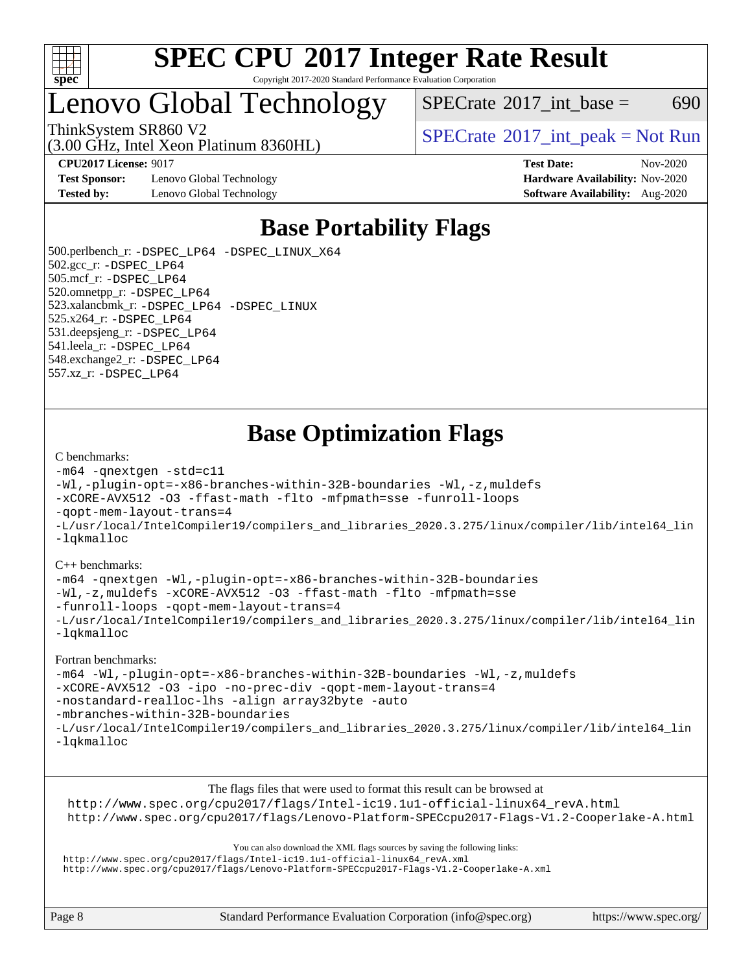

Copyright 2017-2020 Standard Performance Evaluation Corporation

### Lenovo Global Technology

 $SPECTate$ <sup>®</sup>[2017\\_int\\_base =](http://www.spec.org/auto/cpu2017/Docs/result-fields.html#SPECrate2017intbase) 690

(3.00 GHz, Intel Xeon Platinum 8360HL)

**[Test Sponsor:](http://www.spec.org/auto/cpu2017/Docs/result-fields.html#TestSponsor)** Lenovo Global Technology **[Hardware Availability:](http://www.spec.org/auto/cpu2017/Docs/result-fields.html#HardwareAvailability)** Nov-2020 **[Tested by:](http://www.spec.org/auto/cpu2017/Docs/result-fields.html#Testedby)** Lenovo Global Technology **[Software Availability:](http://www.spec.org/auto/cpu2017/Docs/result-fields.html#SoftwareAvailability)** Aug-2020

ThinkSystem SR860 V2<br>  $\begin{array}{c} \text{SPECTR} \\ \text{SPECTR} \\ \text{SPECTR} \end{array}$  [SPECrate](http://www.spec.org/auto/cpu2017/Docs/result-fields.html#SPECrate2017intpeak)®[2017\\_int\\_peak = N](http://www.spec.org/auto/cpu2017/Docs/result-fields.html#SPECrate2017intpeak)ot Run

**[CPU2017 License:](http://www.spec.org/auto/cpu2017/Docs/result-fields.html#CPU2017License)** 9017 **[Test Date:](http://www.spec.org/auto/cpu2017/Docs/result-fields.html#TestDate)** Nov-2020

### **[Base Portability Flags](http://www.spec.org/auto/cpu2017/Docs/result-fields.html#BasePortabilityFlags)**

 500.perlbench\_r: [-DSPEC\\_LP64](http://www.spec.org/cpu2017/results/res2020q4/cpu2017-20201123-24470.flags.html#b500.perlbench_r_basePORTABILITY_DSPEC_LP64) [-DSPEC\\_LINUX\\_X64](http://www.spec.org/cpu2017/results/res2020q4/cpu2017-20201123-24470.flags.html#b500.perlbench_r_baseCPORTABILITY_DSPEC_LINUX_X64) 502.gcc\_r: [-DSPEC\\_LP64](http://www.spec.org/cpu2017/results/res2020q4/cpu2017-20201123-24470.flags.html#suite_basePORTABILITY502_gcc_r_DSPEC_LP64) 505.mcf\_r: [-DSPEC\\_LP64](http://www.spec.org/cpu2017/results/res2020q4/cpu2017-20201123-24470.flags.html#suite_basePORTABILITY505_mcf_r_DSPEC_LP64) 520.omnetpp\_r: [-DSPEC\\_LP64](http://www.spec.org/cpu2017/results/res2020q4/cpu2017-20201123-24470.flags.html#suite_basePORTABILITY520_omnetpp_r_DSPEC_LP64) 523.xalancbmk\_r: [-DSPEC\\_LP64](http://www.spec.org/cpu2017/results/res2020q4/cpu2017-20201123-24470.flags.html#suite_basePORTABILITY523_xalancbmk_r_DSPEC_LP64) [-DSPEC\\_LINUX](http://www.spec.org/cpu2017/results/res2020q4/cpu2017-20201123-24470.flags.html#b523.xalancbmk_r_baseCXXPORTABILITY_DSPEC_LINUX) 525.x264\_r: [-DSPEC\\_LP64](http://www.spec.org/cpu2017/results/res2020q4/cpu2017-20201123-24470.flags.html#suite_basePORTABILITY525_x264_r_DSPEC_LP64) 531.deepsjeng\_r: [-DSPEC\\_LP64](http://www.spec.org/cpu2017/results/res2020q4/cpu2017-20201123-24470.flags.html#suite_basePORTABILITY531_deepsjeng_r_DSPEC_LP64) 541.leela\_r: [-DSPEC\\_LP64](http://www.spec.org/cpu2017/results/res2020q4/cpu2017-20201123-24470.flags.html#suite_basePORTABILITY541_leela_r_DSPEC_LP64) 548.exchange2\_r: [-DSPEC\\_LP64](http://www.spec.org/cpu2017/results/res2020q4/cpu2017-20201123-24470.flags.html#suite_basePORTABILITY548_exchange2_r_DSPEC_LP64) 557.xz\_r: [-DSPEC\\_LP64](http://www.spec.org/cpu2017/results/res2020q4/cpu2017-20201123-24470.flags.html#suite_basePORTABILITY557_xz_r_DSPEC_LP64)

### **[Base Optimization Flags](http://www.spec.org/auto/cpu2017/Docs/result-fields.html#BaseOptimizationFlags)**

#### [C benchmarks](http://www.spec.org/auto/cpu2017/Docs/result-fields.html#Cbenchmarks):

```
-m64 -qnextgen -std=c11
-Wl,-plugin-opt=-x86-branches-within-32B-boundaries -Wl,-z,muldefs
-xCORE-AVX512 -O3 -ffast-math -flto -mfpmath=sse -funroll-loops
-qopt-mem-layout-trans=4
-L/usr/local/IntelCompiler19/compilers_and_libraries_2020.3.275/linux/compiler/lib/intel64_lin
-lqkmalloc
```
#### [C++ benchmarks](http://www.spec.org/auto/cpu2017/Docs/result-fields.html#CXXbenchmarks):

[-m64](http://www.spec.org/cpu2017/results/res2020q4/cpu2017-20201123-24470.flags.html#user_CXXbase_m64-icc) [-qnextgen](http://www.spec.org/cpu2017/results/res2020q4/cpu2017-20201123-24470.flags.html#user_CXXbase_f-qnextgen) [-Wl,-plugin-opt=-x86-branches-within-32B-boundaries](http://www.spec.org/cpu2017/results/res2020q4/cpu2017-20201123-24470.flags.html#user_CXXbase_f-x86-branches-within-32B-boundaries_0098b4e4317ae60947b7b728078a624952a08ac37a3c797dfb4ffeb399e0c61a9dd0f2f44ce917e9361fb9076ccb15e7824594512dd315205382d84209e912f3) [-Wl,-z,muldefs](http://www.spec.org/cpu2017/results/res2020q4/cpu2017-20201123-24470.flags.html#user_CXXbase_link_force_multiple1_b4cbdb97b34bdee9ceefcfe54f4c8ea74255f0b02a4b23e853cdb0e18eb4525ac79b5a88067c842dd0ee6996c24547a27a4b99331201badda8798ef8a743f577) [-xCORE-AVX512](http://www.spec.org/cpu2017/results/res2020q4/cpu2017-20201123-24470.flags.html#user_CXXbase_f-xCORE-AVX512) [-O3](http://www.spec.org/cpu2017/results/res2020q4/cpu2017-20201123-24470.flags.html#user_CXXbase_f-O3) [-ffast-math](http://www.spec.org/cpu2017/results/res2020q4/cpu2017-20201123-24470.flags.html#user_CXXbase_f-ffast-math) [-flto](http://www.spec.org/cpu2017/results/res2020q4/cpu2017-20201123-24470.flags.html#user_CXXbase_f-flto) [-mfpmath=sse](http://www.spec.org/cpu2017/results/res2020q4/cpu2017-20201123-24470.flags.html#user_CXXbase_f-mfpmath_70eb8fac26bde974f8ab713bc9086c5621c0b8d2f6c86f38af0bd7062540daf19db5f3a066d8c6684be05d84c9b6322eb3b5be6619d967835195b93d6c02afa1) [-funroll-loops](http://www.spec.org/cpu2017/results/res2020q4/cpu2017-20201123-24470.flags.html#user_CXXbase_f-funroll-loops) [-qopt-mem-layout-trans=4](http://www.spec.org/cpu2017/results/res2020q4/cpu2017-20201123-24470.flags.html#user_CXXbase_f-qopt-mem-layout-trans_fa39e755916c150a61361b7846f310bcdf6f04e385ef281cadf3647acec3f0ae266d1a1d22d972a7087a248fd4e6ca390a3634700869573d231a252c784941a8) [-L/usr/local/IntelCompiler19/compilers\\_and\\_libraries\\_2020.3.275/linux/compiler/lib/intel64\\_lin](http://www.spec.org/cpu2017/results/res2020q4/cpu2017-20201123-24470.flags.html#user_CXXbase_linkpath_6eb3b1b8be403820338b5b82e7a1c217a861a8962ac718a6253be1483b50620487664a39a847caf560d84a6b8bab7cca33d9f414525a12ede1e9473db34a3d08) [-lqkmalloc](http://www.spec.org/cpu2017/results/res2020q4/cpu2017-20201123-24470.flags.html#user_CXXbase_qkmalloc_link_lib_79a818439969f771c6bc311cfd333c00fc099dad35c030f5aab9dda831713d2015205805422f83de8875488a2991c0a156aaa600e1f9138f8fc37004abc96dc5)

#### [Fortran benchmarks:](http://www.spec.org/auto/cpu2017/Docs/result-fields.html#Fortranbenchmarks)

```
-m64 -Wl,-plugin-opt=-x86-branches-within-32B-boundaries -Wl,-z,muldefs
-xCORE-AVX512 -O3 -ipo -no-prec-div -qopt-mem-layout-trans=4
-nostandard-realloc-lhs -align array32byte -auto
-mbranches-within-32B-boundaries
-L/usr/local/IntelCompiler19/compilers_and_libraries_2020.3.275/linux/compiler/lib/intel64_lin
-lqkmalloc
```
[The flags files that were used to format this result can be browsed at](tmsearch)

[http://www.spec.org/cpu2017/flags/Intel-ic19.1u1-official-linux64\\_revA.html](http://www.spec.org/cpu2017/flags/Intel-ic19.1u1-official-linux64_revA.html) <http://www.spec.org/cpu2017/flags/Lenovo-Platform-SPECcpu2017-Flags-V1.2-Cooperlake-A.html>

[You can also download the XML flags sources by saving the following links:](tmsearch)

[http://www.spec.org/cpu2017/flags/Intel-ic19.1u1-official-linux64\\_revA.xml](http://www.spec.org/cpu2017/flags/Intel-ic19.1u1-official-linux64_revA.xml) <http://www.spec.org/cpu2017/flags/Lenovo-Platform-SPECcpu2017-Flags-V1.2-Cooperlake-A.xml>